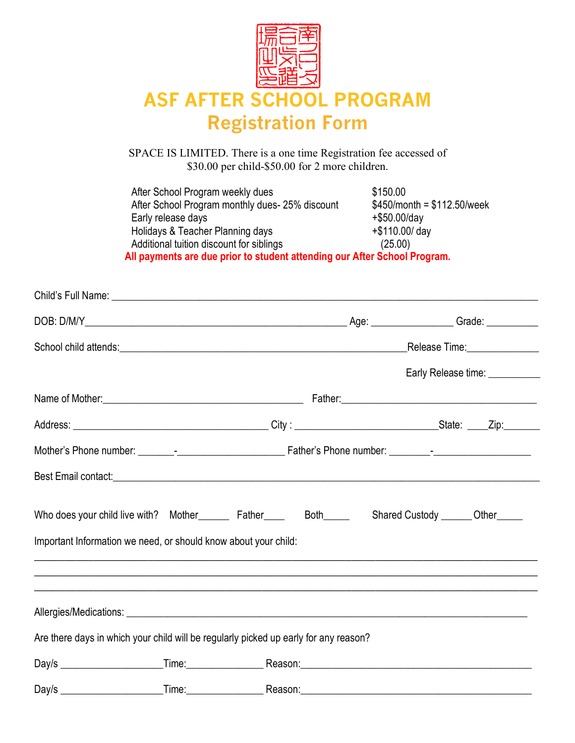

## **ASF AFTER SCHOOL PROGRAM Registration Form**

SPACE IS LIMITED. There is a one time Registration fee accessed of \$30.00 per child-\$50.00 for 2 more children.

After School Program weekly dues \$150.00 After School Program monthly dues- 25% discount  $$450/m$ onth = \$112.50/week<br>Early release days  $+ $50.00/d$ ay Early release days Holidays & Teacher Planning days  $+$ \$110.00/ day Additional tuition discount for siblings (25.00) **All payments are due prior to student attending our After School Program.**

|                                                                                      |                                                                                                                                                                      |                                    | Early Release time: ___________ |
|--------------------------------------------------------------------------------------|----------------------------------------------------------------------------------------------------------------------------------------------------------------------|------------------------------------|---------------------------------|
|                                                                                      |                                                                                                                                                                      |                                    |                                 |
|                                                                                      |                                                                                                                                                                      |                                    |                                 |
|                                                                                      |                                                                                                                                                                      |                                    |                                 |
|                                                                                      |                                                                                                                                                                      |                                    |                                 |
| Who does your child live with? Mother________ Father_____ Both_____                  |                                                                                                                                                                      | Shared Custody _______ Other______ |                                 |
| Important Information we need, or should know about your child:                      |                                                                                                                                                                      |                                    |                                 |
|                                                                                      | ,我们也不会有什么?""我们的人,我们也不会有什么?""我们的人,我们也不会有什么?""我们的人,我们也不会有什么?""我们的人,我们也不会有什么?""我们的人<br>,我们也不会有什么。""我们的人,我们也不会有什么?""我们的人,我们也不会有什么?""我们的人,我们也不会有什么?""我们的人,我们也不会有什么?""我们的人 |                                    |                                 |
|                                                                                      |                                                                                                                                                                      |                                    |                                 |
| Are there days in which your child will be regularly picked up early for any reason? |                                                                                                                                                                      |                                    |                                 |
|                                                                                      |                                                                                                                                                                      |                                    |                                 |
|                                                                                      |                                                                                                                                                                      |                                    |                                 |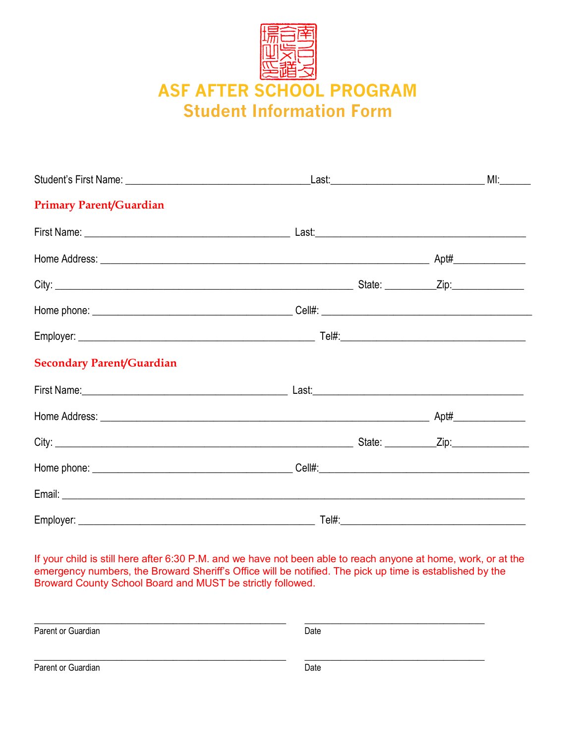

| <b>Primary Parent/Guardian</b>   |  |
|----------------------------------|--|
|                                  |  |
|                                  |  |
|                                  |  |
|                                  |  |
|                                  |  |
| <b>Secondary Parent/Guardian</b> |  |
|                                  |  |
|                                  |  |
|                                  |  |
|                                  |  |
|                                  |  |
|                                  |  |

If your child is still here after 6:30 P.M. and we have not been able to reach anyone at home, work, or at the emergency numbers, the Broward Sheriff's Office will be notified. The pick up time is established by the Broward County School Board and MUST be strictly followed.

Parent or Guardian  $\overline{Date}$ Parent or Guardian  $\overline{Date}$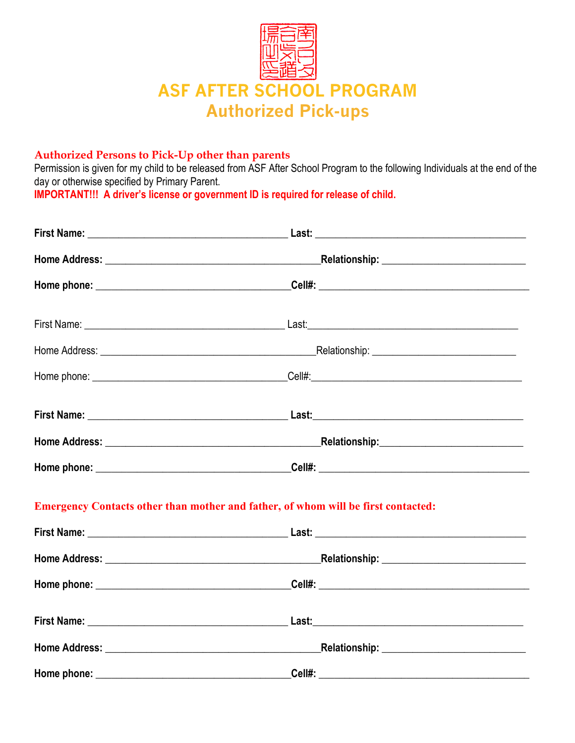

## **Authorized Persons to Pick-Up other than parents**

Permission is given for my child to be released from ASF After School Program to the following Individuals at the end of the day or otherwise specified by Primary Parent.

**IMPORTANT!!! A driver's license or government ID is required for release of child.**

| _Relationship: ______________________________                                     |  |
|-----------------------------------------------------------------------------------|--|
|                                                                                   |  |
|                                                                                   |  |
|                                                                                   |  |
|                                                                                   |  |
|                                                                                   |  |
| _Relationship:______________________________                                      |  |
|                                                                                   |  |
| Emergency Contacts other than mother and father, of whom will be first contacted: |  |
|                                                                                   |  |
|                                                                                   |  |
|                                                                                   |  |
|                                                                                   |  |
| _Relationship: ______________________________                                     |  |
|                                                                                   |  |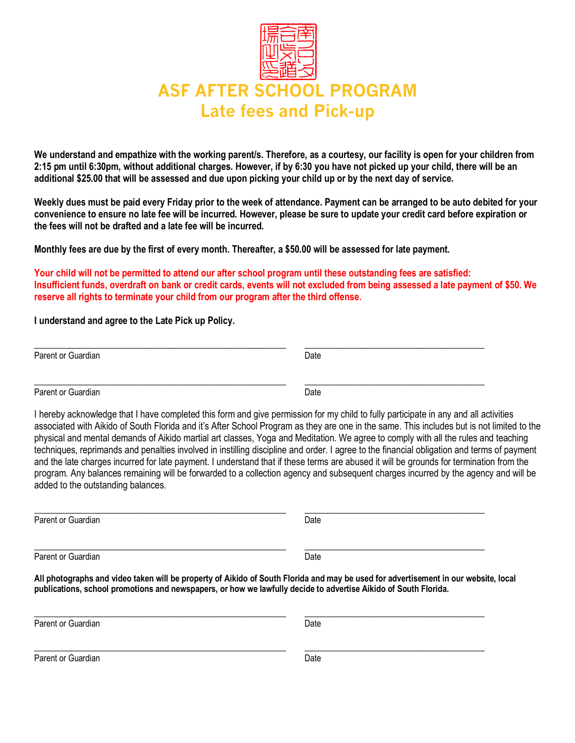

**We understand and empathize with the working parent/s. Therefore, as a courtesy, our facility is open for your children from 2:15 pm until 6:30pm, without additional charges. However, if by 6:30 you have not picked up your child, there will be an additional \$25.00 that will be assessed and due upon picking your child up or by the next day of service.** 

**Weekly dues must be paid every Friday prior to the week of attendance. Payment can be arranged to be auto debited for your convenience to ensure no late fee will be incurred. However, please be sure to update your credit card before expiration or the fees will not be drafted and a late fee will be incurred.**

**Monthly fees are due by the first of every month. Thereafter, a \$50.00 will be assessed for late payment.** 

**Your child will not be permitted to attend our after school program until these outstanding fees are satisfied: Insufficient funds, overdraft on bank or credit cards, events will not excluded from being assessed a late payment of \$50. We reserve all rights to terminate your child from our program after the third offense.** 

**I understand and agree to the Late Pick up Policy.**

| Parent or Guardian | Date |  |
|--------------------|------|--|
|                    |      |  |
| Parent or Guardian | Date |  |

I hereby acknowledge that I have completed this form and give permission for my child to fully participate in any and all activities associated with Aikido of South Florida and it's After School Program as they are one in the same. This includes but is not limited to the physical and mental demands of Aikido martial art classes, Yoga and Meditation. We agree to comply with all the rules and teaching techniques, reprimands and penalties involved in instilling discipline and order. I agree to the financial obligation and terms of payment and the late charges incurred for late payment. I understand that if these terms are abused it will be grounds for termination from the program. Any balances remaining will be forwarded to a collection agency and subsequent charges incurred by the agency and will be added to the outstanding balances.

| Parent or Guardian | Date                                                                                                                          |
|--------------------|-------------------------------------------------------------------------------------------------------------------------------|
| Parent or Guardian | Date                                                                                                                          |
|                    | All photographs and video taken will be property of Aikido of South Florida and may be used for advertisement in our website. |

**All photographs and video taken will be property of Aikido of South Florida and may be used for advertisement in our website, local publications, school promotions and newspapers, or how we lawfully decide to advertise Aikido of South Florida.**

\_\_\_\_\_\_\_\_\_\_\_\_\_\_\_\_\_\_\_\_\_\_\_\_\_\_\_\_\_\_\_\_\_\_\_\_\_\_\_\_\_\_\_\_\_\_\_\_\_ \_\_\_\_\_\_\_\_\_\_\_\_\_\_\_\_\_\_\_\_\_\_\_\_\_\_\_\_\_\_\_\_\_\_\_ Parent or Guardian Date **Date** \_\_\_\_\_\_\_\_\_\_\_\_\_\_\_\_\_\_\_\_\_\_\_\_\_\_\_\_\_\_\_\_\_\_\_\_\_\_\_\_\_\_\_\_\_\_\_\_\_ \_\_\_\_\_\_\_\_\_\_\_\_\_\_\_\_\_\_\_\_\_\_\_\_\_\_\_\_\_\_\_\_\_\_\_ Parent or Guardian Date **Date**